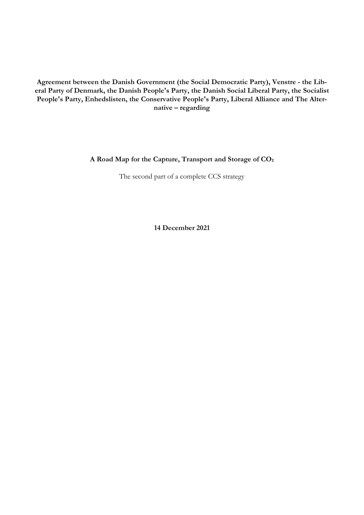**Agreement between the Danish Government (the Social Democratic Party), Venstre - the Liberal Party of Denmark, the Danish People's Party, the Danish Social Liberal Party, the Socialist People's Party, Enhedslisten, the Conservative People's Party, Liberal Alliance and The Alternative – regarding**

# **A Road Map for the Capture, Transport and Storage of CO₂**

The second part of a complete CCS strategy

**14 December 2021**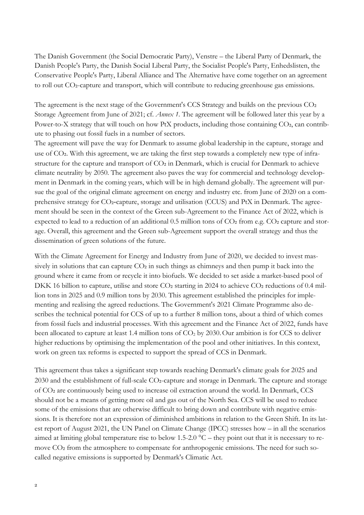The Danish Government (the Social Democratic Party), Venstre – the Liberal Party of Denmark, the Danish People's Party, the Danish Social Liberal Party, the Socialist People's Party, Enhedslisten, the Conservative People's Party, Liberal Alliance and The Alternative have come together on an agreement to roll out CO2-capture and transport, which will contribute to reducing greenhouse gas emissions.

The agreement is the next stage of the Government's CCS Strategy and builds on the previous CO2 Storage Agreement from June of 2021; cf. *Annex 1.* The agreement will be followed later this year by a Power-to-X strategy that will touch on how PtX products, including those containing CO<sub>2</sub>, can contribute to phasing out fossil fuels in a number of sectors.

The agreement will pave the way for Denmark to assume global leadership in the capture, storage and use of CO<sub>2</sub>. With this agreement, we are taking the first step towards a completely new type of infrastructure for the capture and transport of CO2 in Denmark, which is crucial for Denmark to achieve climate neutrality by 2050. The agreement also paves the way for commercial and technology development in Denmark in the coming years, which will be in high demand globally. The agreement will pursue the goal of the original climate agreement on energy and industry etc. from June of 2020 on a comprehensive strategy for CO2-capture, storage and utilisation (CCUS) and PtX in Denmark. The agreement should be seen in the context of the Green sub-Agreement to the Finance Act of 2022, which is expected to lead to a reduction of an additional 0.5 million tons of CO2 from e.g. CO2 capture and storage. Overall, this agreement and the Green sub-Agreement support the overall strategy and thus the dissemination of green solutions of the future.

With the Climate Agreement for Energy and Industry from June of 2020, we decided to invest massively in solutions that can capture  $CO<sub>2</sub>$  in such things as chimneys and then pump it back into the ground where it came from or recycle it into biofuels. We decided to set aside a market-based pool of DKK 16 billion to capture, utilise and store CO2 starting in 2024 to achieve CO2 reductions of 0.4 million tons in 2025 and 0.9 million tons by 2030. This agreement established the principles for implementing and realising the agreed reductions. The Government's 2021 Climate Programme also describes the technical potential for CCS of up to a further 8 million tons, about a third of which comes from fossil fuels and industrial processes. With this agreement and the Finance Act of 2022, funds have been allocated to capture at least 1.4 million tons of  $CO<sub>2</sub>$  by 2030. Our ambition is for CCS to deliver higher reductions by optimising the implementation of the pool and other initiatives. In this context, work on green tax reforms is expected to support the spread of CCS in Denmark.

This agreement thus takes a significant step towards reaching Denmark's climate goals for 2025 and 2030 and the establishment of full-scale CO2-capture and storage in Denmark. The capture and storage of CO₂ are continuously being used to increase oil extraction around the world. In Denmark, CCS should not be a means of getting more oil and gas out of the North Sea. CCS will be used to reduce some of the emissions that are otherwise difficult to bring down and contribute with negative emissions. It is therefore not an expression of diminished ambitions in relation to the Green Shift. In its latest report of August 2021, the UN Panel on Climate Change (IPCC) stresses how – in all the scenarios aimed at limiting global temperature rise to below  $1.5$ -2.0  $^{\circ}$ C – they point out that it is necessary to remove CO<sub>2</sub> from the atmosphere to compensate for anthropogenic emissions. The need for such socalled negative emissions is supported by Denmark's Climatic Act.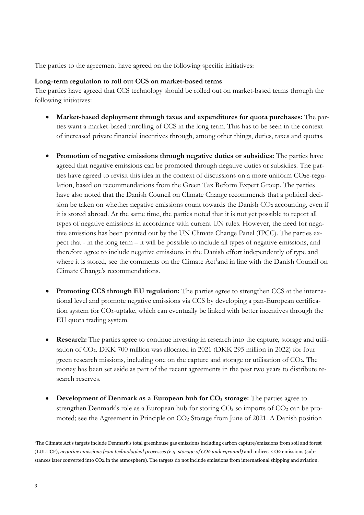The parties to the agreement have agreed on the following specific initiatives:

## **Long-term regulation to roll out CCS on market-based terms**

The parties have agreed that CCS technology should be rolled out on market-based terms through the following initiatives:

- **Market-based deployment through taxes and expenditures for quota purchases:** The parties want a market-based unrolling of CCS in the long term. This has to be seen in the context of increased private financial incentives through, among other things, duties, taxes and quotas.
- **Promotion of negative emissions through negative duties or subsidies:** The parties have agreed that negative emissions can be promoted through negative duties or subsidies. The parties have agreed to revisit this idea in the context of discussions on a more uniform CO2e-regulation, based on recommendations from the Green Tax Reform Expert Group. The parties have also noted that the Danish Council on Climate Change recommends that a political decision be taken on whether negative emissions count towards the Danish CO2 accounting, even if it is stored abroad. At the same time, the parties noted that it is not yet possible to report all types of negative emissions in accordance with current UN rules. However, the need for negative emissions has been pointed out by the UN Climate Change Panel (IPCC). The parties expect that - in the long term – it will be possible to include all types of negative emissions, and therefore agree to include negative emissions in the Danish effort independently of type and where it is stored, see the comments on the Climate Act<sup>1</sup>and in line with the Danish Council on Climate Change's recommendations.
- **Promoting CCS through EU regulation:** The parties agree to strengthen CCS at the international level and promote negative emissions via CCS by developing a pan-European certification system for CO2-uptake, which can eventually be linked with better incentives through the EU quota trading system.
- **Research:** The parties agree to continue investing in research into the capture, storage and utilisation of CO2. DKK 700 million was allocated in 2021 (DKK 295 million in 2022) for four green research missions, including one on the capture and storage or utilisation of CO₂. The money has been set aside as part of the recent agreements in the past two years to distribute research reserves.
- **Development of Denmark as a European hub for CO₂ storage:** The parties agree to strengthen Denmark's role as a European hub for storing CO2 so imports of CO2 can be promoted; see the Agreement in Principle on CO₂ Storage from June of 2021. A Danish position

-

<sup>1</sup>The Climate Act's targets include Denmark's total greenhouse gas emissions including carbon capture/emissions from soil and forest (LULUCF), *negative emissions from technological processes (e.g. storage of CO2 underground)* and indirect CO2 emissions (substances later converted into CO2 in the atmosphere). The targets do not include emissions from international shipping and aviation.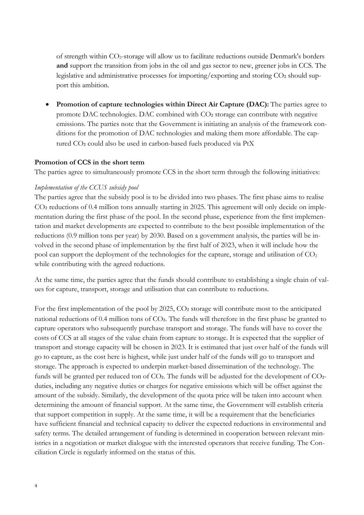of strength within CO2-storage will allow us to facilitate reductions outside Denmark's borders **and** support the transition from jobs in the oil and gas sector to new, greener jobs in CCS. The legislative and administrative processes for importing/exporting and storing CO2 should support this ambition.

 **Promotion of capture technologies within Direct Air Capture (DAC):** The parties agree to promote DAC technologies. DAC combined with CO2 storage can contribute with negative emissions. The parties note that the Government is initiating an analysis of the framework conditions for the promotion of DAC technologies and making them more affordable. The captured CO₂ could also be used in carbon-based fuels produced via PtX

# **Promotion of CCS in the short term**

The parties agree to simultaneously promote CCS in the short term through the following initiatives:

## *Implementation of the CCUS subsidy pool*

The parties agree that the subsidy pool is to be divided into two phases. The first phase aims to realise CO<sub>2</sub> reductions of 0.4 million tons annually starting in 2025. This agreement will only decide on implementation during the first phase of the pool. In the second phase, experience from the first implementation and market developments are expected to contribute to the best possible implementation of the reductions (0.9 million tons per year) by 2030. Based on a government analysis, the parties will be involved in the second phase of implementation by the first half of 2023, when it will include how the pool can support the deployment of the technologies for the capture, storage and utilisation of CO<sub>2</sub> while contributing with the agreed reductions.

At the same time, the parties agree that the funds should contribute to establishing a single chain of values for capture, transport, storage and utilisation that can contribute to reductions.

For the first implementation of the pool by 2025, CO2 storage will contribute most to the anticipated national reductions of 0.4 million tons of CO2. The funds will therefore in the first phase be granted to capture operators who subsequently purchase transport and storage. The funds will have to cover the costs of CCS at all stages of the value chain from capture to storage. It is expected that the supplier of transport and storage capacity will be chosen in 2023. It is estimated that just over half of the funds will go to capture, as the cost here is highest, while just under half of the funds will go to transport and storage. The approach is expected to underpin market-based dissemination of the technology. The funds will be granted per reduced ton of CO2. The funds will be adjusted for the development of CO2duties, including any negative duties or charges for negative emissions which will be offset against the amount of the subsidy. Similarly, the development of the quota price will be taken into account when determining the amount of financial support. At the same time, the Government will establish criteria that support competition in supply. At the same time, it will be a requirement that the beneficiaries have sufficient financial and technical capacity to deliver the expected reductions in environmental and safety terms. The detailed arrangement of funding is determined in cooperation between relevant ministries in a negotiation or market dialogue with the interested operators that receive funding. The Conciliation Circle is regularly informed on the status of this.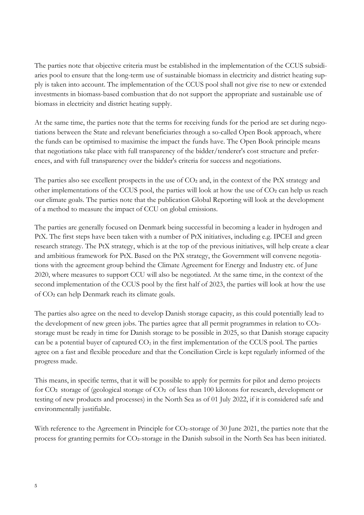The parties note that objective criteria must be established in the implementation of the CCUS subsidiaries pool to ensure that the long-term use of sustainable biomass in electricity and district heating supply is taken into account. The implementation of the CCUS pool shall not give rise to new or extended investments in biomass-based combustion that do not support the appropriate and sustainable use of biomass in electricity and district heating supply.

At the same time, the parties note that the terms for receiving funds for the period are set during negotiations between the State and relevant beneficiaries through a so-called Open Book approach, where the funds can be optimised to maximise the impact the funds have. The Open Book principle means that negotiations take place with full transparency of the bidder/tenderer's cost structure and preferences, and with full transparency over the bidder's criteria for success and negotiations.

The parties also see excellent prospects in the use of  $CO<sub>2</sub>$  and, in the context of the PtX strategy and other implementations of the CCUS pool, the parties will look at how the use of CO₂ can help us reach our climate goals. The parties note that the publication Global Reporting will look at the development of a method to measure the impact of CCU on global emissions.

The parties are generally focused on Denmark being successful in becoming a leader in hydrogen and PtX. The first steps have been taken with a number of PtX initiatives, including e.g. IPCEI and green research strategy. The PtX strategy, which is at the top of the previous initiatives, will help create a clear and ambitious framework for PtX. Based on the PtX strategy, the Government will convene negotiations with the agreement group behind the Climate Agreement for Energy and Industry etc. of June 2020, where measures to support CCU will also be negotiated. At the same time, in the context of the second implementation of the CCUS pool by the first half of 2023, the parties will look at how the use of CO₂ can help Denmark reach its climate goals.

The parties also agree on the need to develop Danish storage capacity, as this could potentially lead to the development of new green jobs. The parties agree that all permit programmes in relation to CO2storage must be ready in time for Danish storage to be possible in 2025, so that Danish storage capacity can be a potential buyer of captured  $CO<sub>2</sub>$  in the first implementation of the CCUS pool. The parties agree on a fast and flexible procedure and that the Conciliation Circle is kept regularly informed of the progress made.

This means, in specific terms, that it will be possible to apply for permits for pilot and demo projects for CO<sub>2</sub> storage of (geological storage of CO<sub>2</sub> of less than 100 kilotons for research, development or testing of new products and processes) in the North Sea as of 01 July 2022, if it is considered safe and environmentally justifiable.

With reference to the Agreement in Principle for CO2-storage of 30 June 2021, the parties note that the process for granting permits for CO2-storage in the Danish subsoil in the North Sea has been initiated.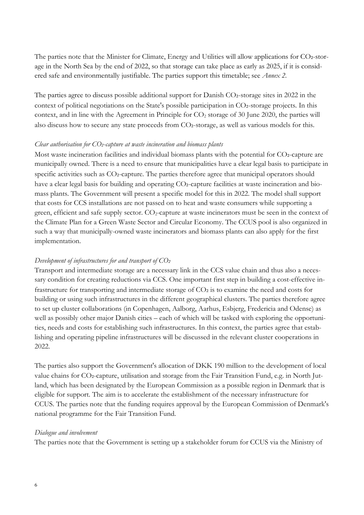The parties note that the Minister for Climate, Energy and Utilities will allow applications for CO2-storage in the North Sea by the end of 2022, so that storage can take place as early as 2025, if it is considered safe and environmentally justifiable. The parties support this timetable; see *Annex 2*.

The parties agree to discuss possible additional support for Danish CO2-storage sites in 2022 in the context of political negotiations on the State's possible participation in CO2-storage projects. In this context, and in line with the Agreement in Principle for  $CO<sub>2</sub>$  storage of 30 June 2020, the parties will also discuss how to secure any state proceeds from CO₂-storage, as well as various models for this.

#### *Clear authorisation for CO₂-capture at waste incineration and biomass plants*

Most waste incineration facilities and individual biomass plants with the potential for CO2-capture are municipally owned. There is a need to ensure that municipalities have a clear legal basis to participate in specific activities such as CO2-capture. The parties therefore agree that municipal operators should have a clear legal basis for building and operating CO2-capture facilities at waste incineration and biomass plants. The Government will present a specific model for this in 2022. The model shall support that costs for CCS installations are not passed on to heat and waste consumers while supporting a green, efficient and safe supply sector. CO<sub>2</sub>-capture at waste incinerators must be seen in the context of the Climate Plan for a Green Waste Sector and Circular Economy. The CCUS pool is also organized in such a way that municipally-owned waste incinerators and biomass plants can also apply for the first implementation.

#### *Development of infrastructures for and transport of CO₂*

Transport and intermediate storage are a necessary link in the CCS value chain and thus also a necessary condition for creating reductions via CCS. One important first step in building a cost-effective infrastructure for transporting and intermediate storage of CO₂ is to examine the need and costs for building or using such infrastructures in the different geographical clusters. The parties therefore agree to set up cluster collaborations (in Copenhagen, Aalborg, Aarhus, Esbjerg, Fredericia and Odense) as well as possibly other major Danish cities – each of which will be tasked with exploring the opportunities, needs and costs for establishing such infrastructures. In this context, the parties agree that establishing and operating pipeline infrastructures will be discussed in the relevant cluster cooperations in 2022.

The parties also support the Government's allocation of DKK 190 million to the development of local value chains for CO2-capture, utilisation and storage from the Fair Transition Fund, e.g. in North Jutland, which has been designated by the European Commission as a possible region in Denmark that is eligible for support. The aim is to accelerate the establishment of the necessary infrastructure for CCUS. The parties note that the funding requires approval by the European Commission of Denmark's national programme for the Fair Transition Fund.

#### *Dialogue and involvement*

The parties note that the Government is setting up a stakeholder forum for CCUS via the Ministry of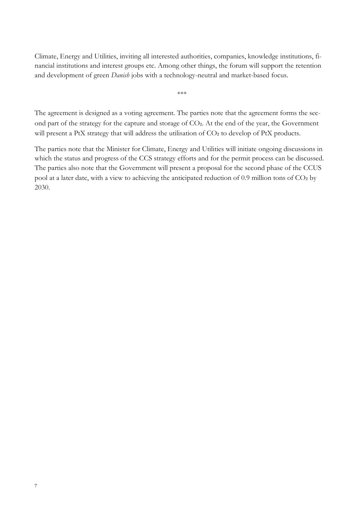Climate, Energy and Utilities, inviting all interested authorities, companies, knowledge institutions, financial institutions and interest groups etc. Among other things, the forum will support the retention and development of green *Danish* jobs with a technology-neutral and market-based focus.

\*\*\*

The agreement is designed as a voting agreement. The parties note that the agreement forms the second part of the strategy for the capture and storage of CO2. At the end of the year, the Government will present a PtX strategy that will address the utilisation of CO2 to develop of PtX products.

The parties note that the Minister for Climate, Energy and Utilities will initiate ongoing discussions in which the status and progress of the CCS strategy efforts and for the permit process can be discussed. The parties also note that the Government will present a proposal for the second phase of the CCUS pool at a later date, with a view to achieving the anticipated reduction of 0.9 million tons of CO₂ by 2030.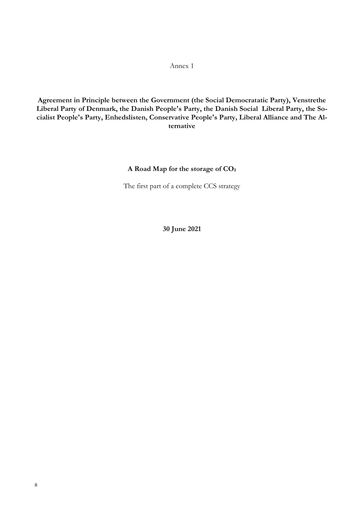# Annex 1

**Agreement in Principle between the Government (the Social Democratatic Party), Venstrethe Liberal Party of Denmark, the Danish People's Party, the Danish Social Liberal Party, the Socialist People's Party, Enhedslisten, Conservative People's Party, Liberal Alliance and The Alternative**

# **A Road Map for the storage of CO₂**

The first part of a complete CCS strategy

**30 June 2021**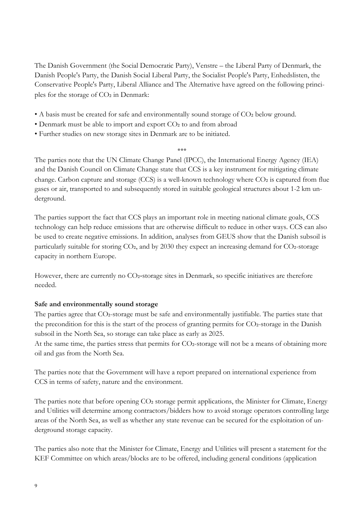The Danish Government (the Social Democratic Party), Venstre – the Liberal Party of Denmark, the Danish People's Party, the Danish Social Liberal Party, the Socialist People's Party, Enhedslisten, the Conservative People's Party, Liberal Alliance and The Alternative have agreed on the following principles for the storage of CO₂ in Denmark:

- A basis must be created for safe and environmentally sound storage of CO2 below ground.
- Denmark must be able to import and export CO2 to and from abroad
- Further studies on new storage sites in Denmark are to be initiated.

\*\*\*

The parties note that the UN Climate Change Panel (IPCC), the International Energy Agency (IEA) and the Danish Council on Climate Change state that CCS is a key instrument for mitigating climate change. Carbon capture and storage (CCS) is a well-known technology where CO2 is captured from flue gases or air, transported to and subsequently stored in suitable geological structures about 1-2 km underground.

The parties support the fact that CCS plays an important role in meeting national climate goals, CCS technology can help reduce emissions that are otherwise difficult to reduce in other ways. CCS can also be used to create negative emissions. In addition, analyses from GEUS show that the Danish subsoil is particularly suitable for storing CO2, and by 2030 they expect an increasing demand for CO2-storage capacity in northern Europe.

However, there are currently no CO2-storage sites in Denmark, so specific initiatives are therefore needed.

# **Safe and environmentally sound storage**

The parties agree that CO2-storage must be safe and environmentally justifiable. The parties state that the precondition for this is the start of the process of granting permits for CO2-storage in the Danish subsoil in the North Sea, so storage can take place as early as 2025.

At the same time, the parties stress that permits for CO2-storage will not be a means of obtaining more oil and gas from the North Sea.

The parties note that the Government will have a report prepared on international experience from CCS in terms of safety, nature and the environment.

The parties note that before opening CO2 storage permit applications, the Minister for Climate, Energy and Utilities will determine among contractors/bidders how to avoid storage operators controlling large areas of the North Sea, as well as whether any state revenue can be secured for the exploitation of underground storage capacity.

The parties also note that the Minister for Climate, Energy and Utilities will present a statement for the KEF Committee on which areas/blocks are to be offered, including general conditions (application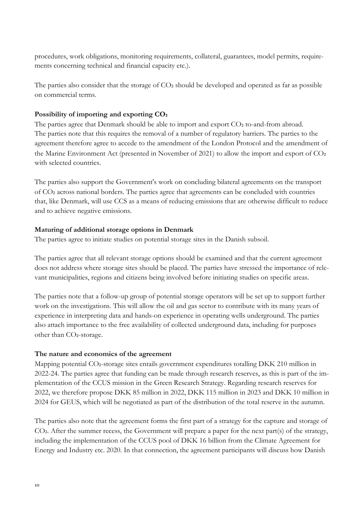procedures, work obligations, monitoring requirements, collateral, guarantees, model permits, requirements concerning technical and financial capacity etc.).

The parties also consider that the storage of CO2 should be developed and operated as far as possible on commercial terms.

# **Possibility of importing and exporting CO₂**

The parties agree that Denmark should be able to import and export CO2 to-and-from abroad. The parties note that this requires the removal of a number of regulatory barriers. The parties to the agreement therefore agree to accede to the amendment of the London Protocol and the amendment of the Marine Environment Act (presented in November of 2021) to allow the import and export of CO₂ with selected countries.

The parties also support the Government's work on concluding bilateral agreements on the transport of CO₂ across national borders. The parties agree that agreements can be concluded with countries that, like Denmark, will use CCS as a means of reducing emissions that are otherwise difficult to reduce and to achieve negative emissions.

# **Maturing of additional storage options in Denmark**

The parties agree to initiate studies on potential storage sites in the Danish subsoil.

The parties agree that all relevant storage options should be examined and that the current agreement does not address where storage sites should be placed. The parties have stressed the importance of relevant municipalities, regions and citizens being involved before initiating studies on specific areas.

The parties note that a follow-up group of potential storage operators will be set up to support further work on the investigations. This will allow the oil and gas sector to contribute with its many years of experience in interpreting data and hands-on experience in operating wells underground. The parties also attach importance to the free availability of collected underground data, including for purposes other than CO₂-storage.

# **The nature and economics of the agreement**

Mapping potential CO2-storage sites entails government expenditures totalling DKK 210 million in 2022-24. The parties agree that funding can be made through research reserves, as this is part of the implementation of the CCUS mission in the Green Research Strategy. Regarding research reserves for 2022, we therefore propose DKK 85 million in 2022, DKK 115 million in 2023 and DKK 10 million in 2024 for GEUS, which will be negotiated as part of the distribution of the total reserve in the autumn.

The parties also note that the agreement forms the first part of a strategy for the capture and storage of CO<sub>2</sub>. After the summer recess, the Government will prepare a paper for the next part(s) of the strategy, including the implementation of the CCUS pool of DKK 16 billion from the Climate Agreement for Energy and Industry etc. 2020. In that connection, the agreement participants will discuss how Danish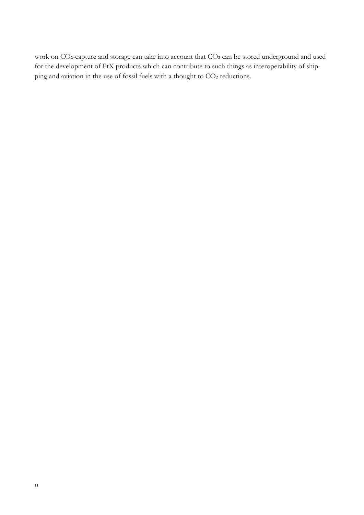work on CO2-capture and storage can take into account that CO2 can be stored underground and used for the development of PtX products which can contribute to such things as interoperability of shipping and aviation in the use of fossil fuels with a thought to CO2 reductions.